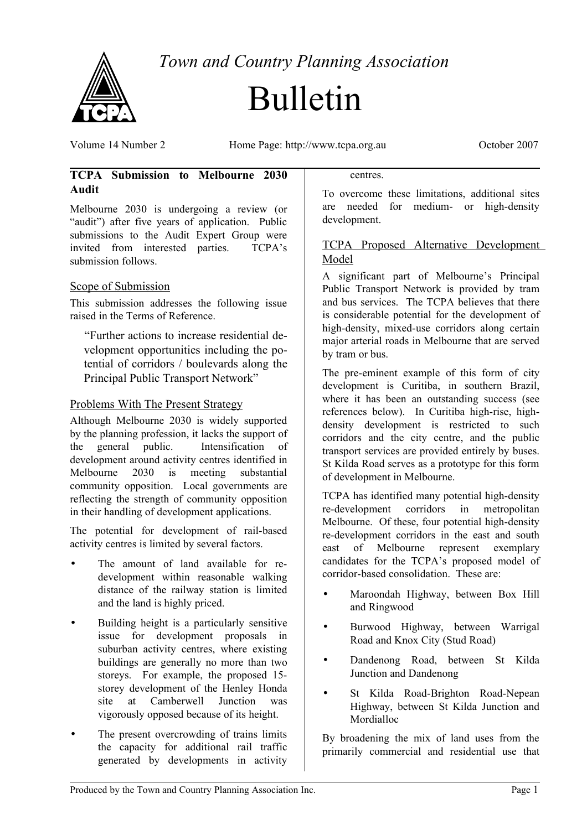

*Town and Country Planning Association*

# Bulletin

Volume 14 Number 2 Home Page: http://www.tcpa.org.au October 2007

# **TCPA Submission to Melbourne 2030 Audit**

Melbourne 2030 is undergoing a review (or "audit") after five years of application. Public submissions to the Audit Expert Group were invited from interested parties. TCPA's submission follows.

# Scope of Submission

This submission addresses the following issue raised in the Terms of Reference.

"Further actions to increase residential development opportunities including the potential of corridors / boulevards along the Principal Public Transport Network"

### Problems With The Present Strategy

Although Melbourne 2030 is widely supported by the planning profession, it lacks the support of the general public. Intensification of development around activity centres identified in Melbourne 2030 is meeting substantial community opposition. Local governments are reflecting the strength of community opposition in their handling of development applications.

The potential for development of rail-based activity centres is limited by several factors.

- The amount of land available for redevelopment within reasonable walking distance of the railway station is limited and the land is highly priced.
- Building height is a particularly sensitive issue for development proposals in suburban activity centres, where existing buildings are generally no more than two storeys. For example, the proposed 15 storey development of the Henley Honda site at Camberwell Junction was vigorously opposed because of its height.
- The present overcrowding of trains limits the capacity for additional rail traffic generated by developments in activity

#### centres.

To overcome these limitations, additional sites are needed for medium- or high-density development.

### TCPA Proposed Alternative Development Model

A significant part of Melbourne's Principal Public Transport Network is provided by tram and bus services. The TCPA believes that there is considerable potential for the development of high-density, mixed-use corridors along certain major arterial roads in Melbourne that are served by tram or bus.

The pre-eminent example of this form of city development is Curitiba, in southern Brazil, where it has been an outstanding success (see references below). In Curitiba high-rise, highdensity development is restricted to such corridors and the city centre, and the public transport services are provided entirely by buses. St Kilda Road serves as a prototype for this form of development in Melbourne.

TCPA has identified many potential high-density re-development corridors in metropolitan Melbourne. Of these, four potential high-density re-development corridors in the east and south east of Melbourne represent exemplary candidates for the TCPA's proposed model of corridor-based consolidation. These are:

- Maroondah Highway, between Box Hill and Ringwood
- Burwood Highway, between Warrigal Road and Knox City (Stud Road)
- Dandenong Road, between St Kilda Junction and Dandenong
- St Kilda Road-Brighton Road-Nepean Highway, between St Kilda Junction and Mordialloc

By broadening the mix of land uses from the primarily commercial and residential use that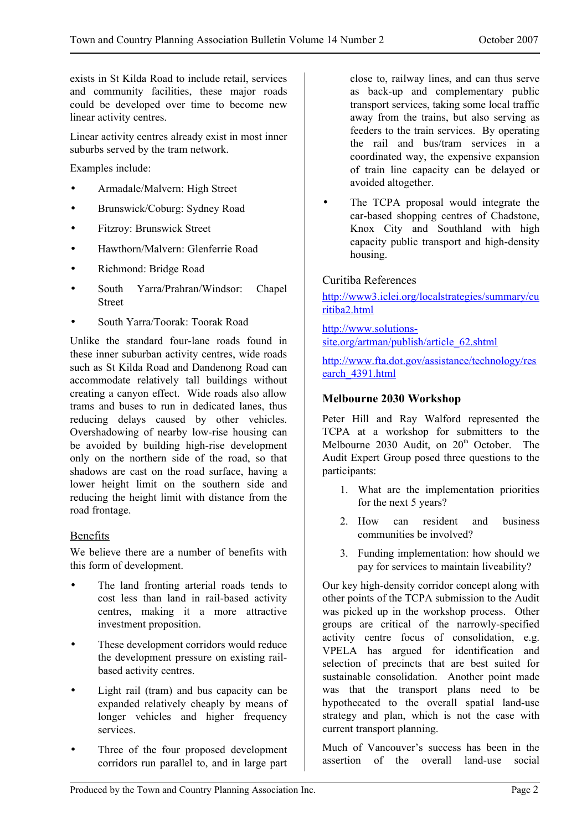exists in St Kilda Road to include retail, services and community facilities, these major roads could be developed over time to become new linear activity centres.

Linear activity centres already exist in most inner suburbs served by the tram network.

Examples include:

- Armadale/Malvern: High Street
- Brunswick/Coburg: Sydney Road
- Fitzroy: Brunswick Street
- Hawthorn/Malvern: Glenferrie Road
- Richmond: Bridge Road
- South Yarra/Prahran/Windsor: Chapel Street
- South Yarra/Toorak: Toorak Road

Unlike the standard four-lane roads found in these inner suburban activity centres, wide roads such as St Kilda Road and Dandenong Road can accommodate relatively tall buildings without creating a canyon effect. Wide roads also allow trams and buses to run in dedicated lanes, thus reducing delays caused by other vehicles. Overshadowing of nearby low-rise housing can be avoided by building high-rise development only on the northern side of the road, so that shadows are cast on the road surface, having a lower height limit on the southern side and reducing the height limit with distance from the road frontage.

### Benefits

We believe there are a number of benefits with this form of development.

- The land fronting arterial roads tends to cost less than land in rail-based activity centres, making it a more attractive investment proposition.
- These development corridors would reduce the development pressure on existing railbased activity centres.
- Light rail (tram) and bus capacity can be expanded relatively cheaply by means of longer vehicles and higher frequency services.
- Three of the four proposed development corridors run parallel to, and in large part

close to, railway lines, and can thus serve as back-up and complementary public transport services, taking some local traffic away from the trains, but also serving as feeders to the train services. By operating the rail and bus/tram services in a coordinated way, the expensive expansion of train line capacity can be delayed or avoided altogether.

• The TCPA proposal would integrate the car-based shopping centres of Chadstone, Knox City and Southland with high capacity public transport and high-density housing.

### Curitiba References

[http://www3.iclei.org/localstrategies/summary/cu](http://www3.iclei.org/localstrategies/summary/curitiba2.html) [ritiba2.html](http://www3.iclei.org/localstrategies/summary/curitiba2.html)

[http://www.solutions](http://www.solutions-site.org/artman/publish/article_62.shtml)[site.org/artman/publish/article\\_62.shtml](http://www.solutions-site.org/artman/publish/article_62.shtml)

[http://www.fta.dot.gov/assistance/technology/res](http://www.fta.dot.gov/assistance/technology/research_4391.html) [earch\\_4391.html](http://www.fta.dot.gov/assistance/technology/research_4391.html)

### **Melbourne 2030 Workshop**

Peter Hill and Ray Walford represented the TCPA at a workshop for submitters to the Melbourne 2030 Audit, on 20<sup>th</sup> October. The Audit Expert Group posed three questions to the participants:

- 1. What are the implementation priorities for the next 5 years?
- 2. How can resident and business communities be involved?
- 3. Funding implementation: how should we pay for services to maintain liveability?

Our key high-density corridor concept along with other points of the TCPA submission to the Audit was picked up in the workshop process. Other groups are critical of the narrowly-specified activity centre focus of consolidation, e.g. VPELA has argued for identification and selection of precincts that are best suited for sustainable consolidation. Another point made was that the transport plans need to be hypothecated to the overall spatial land-use strategy and plan, which is not the case with current transport planning.

Much of Vancouver's success has been in the assertion of the overall land-use social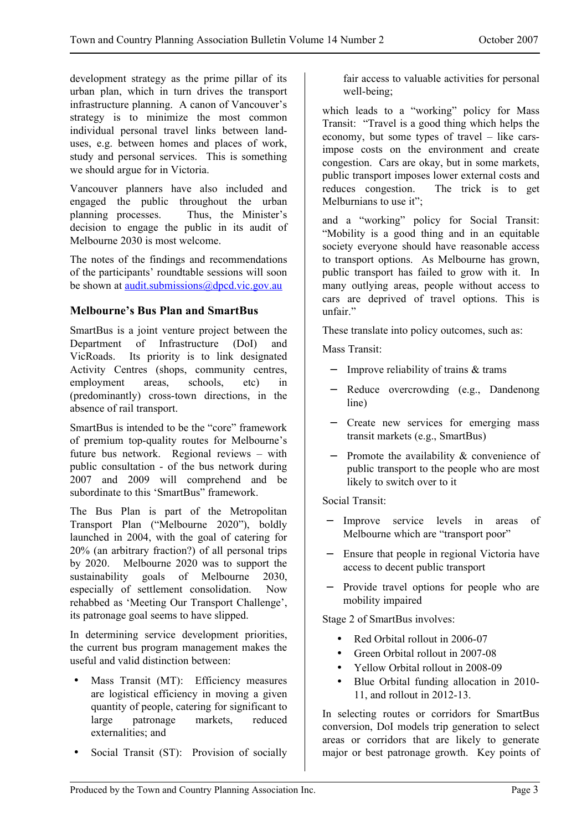development strategy as the prime pillar of its urban plan, which in turn drives the transport infrastructure planning. A canon of Vancouver's strategy is to minimize the most common individual personal travel links between landuses, e.g. between homes and places of work, study and personal services. This is something we should argue for in Victoria.

Vancouver planners have also included and engaged the public throughout the urban planning processes. Thus, the Minister's decision to engage the public in its audit of Melbourne 2030 is most welcome.

The notes of the findings and recommendations of the participants' roundtable sessions will soon be shown at <u>[audit.submissions@dpcd.vic.gov.au](mailto:audit.submissions@dpcd.vic.gov.au)</u>

### **Melbourne's Bus Plan and SmartBus**

SmartBus is a joint venture project between the Department of Infrastructure (DoI) and VicRoads. Its priority is to link designated Activity Centres (shops, community centres, employment areas, schools, etc) in (predominantly) cross-town directions, in the absence of rail transport.

SmartBus is intended to be the "core" framework of premium top-quality routes for Melbourne's future bus network. Regional reviews – with public consultation - of the bus network during 2007 and 2009 will comprehend and be subordinate to this 'SmartBus' framework.

The Bus Plan is part of the Metropolitan Transport Plan ("Melbourne 2020"), boldly launched in 2004, with the goal of catering for 20% (an arbitrary fraction?) of all personal trips by 2020. Melbourne 2020 was to support the sustainability goals of Melbourne 2030, especially of settlement consolidation. Now rehabbed as 'Meeting Our Transport Challenge', its patronage goal seems to have slipped.

In determining service development priorities, the current bus program management makes the useful and valid distinction between:

- Mass Transit (MT): Efficiency measures are logistical efficiency in moving a given quantity of people, catering for significant to large patronage markets, reduced externalities; and
- Social Transit (ST): Provision of socially

fair access to valuable activities for personal well-being;

which leads to a "working" policy for Mass Transit: "Travel is a good thing which helps the economy, but some types of travel – like carsimpose costs on the environment and create congestion. Cars are okay, but in some markets, public transport imposes lower external costs and reduces congestion. The trick is to get Melburnians to use it":

and a "working" policy for Social Transit: "Mobility is a good thing and in an equitable society everyone should have reasonable access to transport options. As Melbourne has grown, public transport has failed to grow with it. In many outlying areas, people without access to cars are deprived of travel options. This is unfair."

These translate into policy outcomes, such as:

Mass Transit:

- − Improve reliability of trains & trams
- − Reduce overcrowding (e.g., Dandenong line)
- − Create new services for emerging mass transit markets (e.g., SmartBus)
- − Promote the availability & convenience of public transport to the people who are most likely to switch over to it

Social Transit:

- − Improve service levels in areas of Melbourne which are "transport poor"
- − Ensure that people in regional Victoria have access to decent public transport
- Provide travel options for people who are mobility impaired

Stage 2 of SmartBus involves:

- Red Orbital rollout in 2006-07
- Green Orbital rollout in 2007-08
- Yellow Orbital rollout in 2008-09
- Blue Orbital funding allocation in 2010- 11, and rollout in 2012-13.

In selecting routes or corridors for SmartBus conversion, DoI models trip generation to select areas or corridors that are likely to generate major or best patronage growth. Key points of